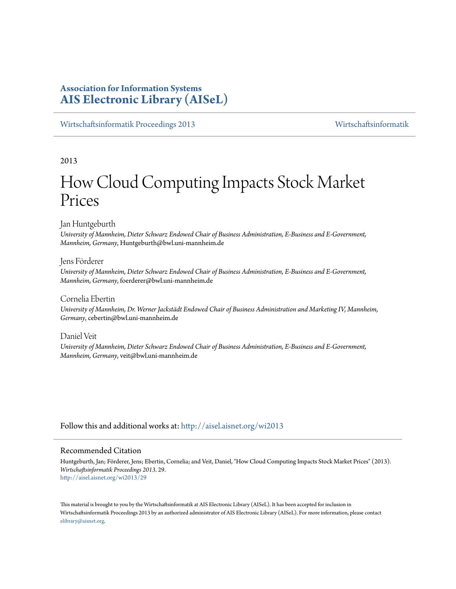## **Association for Information Systems [AIS Electronic Library \(AISeL\)](http://aisel.aisnet.org?utm_source=aisel.aisnet.org%2Fwi2013%2F29&utm_medium=PDF&utm_campaign=PDFCoverPages)**

[Wirtschaftsinformatik Proceedings 2013](http://aisel.aisnet.org/wi2013?utm_source=aisel.aisnet.org%2Fwi2013%2F29&utm_medium=PDF&utm_campaign=PDFCoverPages) [Wirtschaftsinformatik](http://aisel.aisnet.org/wi?utm_source=aisel.aisnet.org%2Fwi2013%2F29&utm_medium=PDF&utm_campaign=PDFCoverPages)

2013

# How Cloud Computing Impacts Stock Market Prices

Jan Huntgeburth

*University of Mannheim, Dieter Schwarz Endowed Chair of Business Administration, E-Business and E-Government, Mannheim, Germany*, Huntgeburth@bwl.uni-mannheim.de

## Jens Förderer

*University of Mannheim, Dieter Schwarz Endowed Chair of Business Administration, E-Business and E-Government, Mannheim, Germany*, foerderer@bwl.uni-mannheim.de

Cornelia Ebertin

*University of Mannheim, Dr. Werner Jackstädt Endowed Chair of Business Administration and Marketing IV, Mannheim, Germany*, cebertin@bwl.uni-mannheim.de

Daniel Veit

*University of Mannheim, Dieter Schwarz Endowed Chair of Business Administration, E-Business and E-Government, Mannheim, Germany*, veit@bwl.uni-mannheim.de

Follow this and additional works at: [http://aisel.aisnet.org/wi2013](http://aisel.aisnet.org/wi2013?utm_source=aisel.aisnet.org%2Fwi2013%2F29&utm_medium=PDF&utm_campaign=PDFCoverPages)

## Recommended Citation

Huntgeburth, Jan; Förderer, Jens; Ebertin, Cornelia; and Veit, Daniel, "How Cloud Computing Impacts Stock Market Prices" (2013). *Wirtschaftsinformatik Proceedings 2013*. 29. [http://aisel.aisnet.org/wi2013/29](http://aisel.aisnet.org/wi2013/29?utm_source=aisel.aisnet.org%2Fwi2013%2F29&utm_medium=PDF&utm_campaign=PDFCoverPages)

This material is brought to you by the Wirtschaftsinformatik at AIS Electronic Library (AISeL). It has been accepted for inclusion in Wirtschaftsinformatik Proceedings 2013 by an authorized administrator of AIS Electronic Library (AISeL). For more information, please contact [elibrary@aisnet.org.](mailto:elibrary@aisnet.org%3E)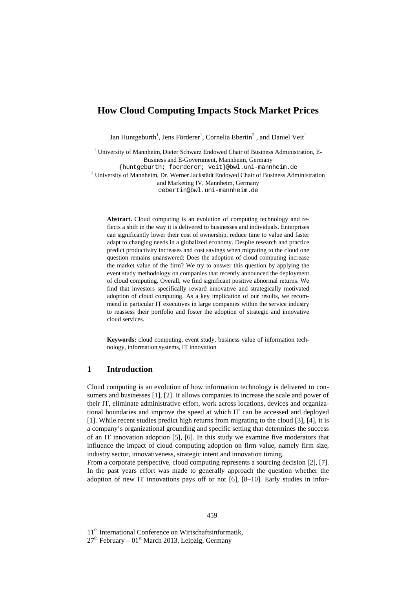## **How Cloud Computing Impacts Stock Market Prices**

Jan Huntgeburth<sup>1</sup>, Jens Förderer<sup>1</sup>, Cornelia Ebertin<sup>2</sup>, and Daniel Veit<sup>1</sup>

<sup>1</sup> University of Mannheim, Dieter Schwarz Endowed Chair of Business Administration, E-Business and E-Government, Mannheim, Germany {huntgeburth; foerderer; veit}@bwl.uni-mannheim.de <sup>2</sup> University of Mannheim, Dr. Werner Jackstädt Endowed Chair of Business Administration and Marketing IV, Mannheim, Germany cebertin@bwl.uni-mannheim.de

**Abstract.** Cloud computing is an evolution of computing technology and reflects a shift in the way it is delivered to businesses and individuals. Enterprises can significantly lower their cost of ownership, reduce time to value and faster adapt to changing needs in a globalized economy. Despite research and practice predict productivity increases and cost savings when migrating to the cloud one question remains unanswered: Does the adoption of cloud computing increase the market value of the firm? We try to answer this question by applying the event study methodology on companies that recently announced the deployment of cloud computing. Overall, we find significant positive abnormal returns. We find that investors specifically reward innovative and strategically motivated adoption of cloud computing. As a key implication of our results, we recommend in particular IT executives in large companies within the service industry to reassess their portfolio and foster the adoption of strategic and innovative cloud services.

**Keywords:** cloud computing, event study, business value of information technology, information systems, IT innovation

## **1 Introduction**

Cloud computing is an evolution of how information technology is delivered to consumers and businesses [1], [2]. It allows companies to increase the scale and power of their IT, eliminate administrative effort, work across locations, devices and organizational boundaries and improve the speed at which IT can be accessed and deployed [1]. While recent studies predict high returns from migrating to the cloud [3], [4], it is a company's organizational grounding and specific setting that determines the success of an IT innovation adoption [5], [6]. In this study we examine five moderators that influence the impact of cloud computing adoption on firm value, namely firm size, industry sector, innovativeness, strategic intent and innovation timing.

From a corporate perspective, cloud computing represents a sourcing decision [2], [7]. In the past years effort was made to generally approach the question whether the adoption of new IT innovations pays off or not [6], [8–10]. Early studies in infor-

11<sup>th</sup> International Conference on Wirtschaftsinformatik,

 $27<sup>th</sup>$  February – 01<sup>st</sup> March 2013, Leipzig, Germany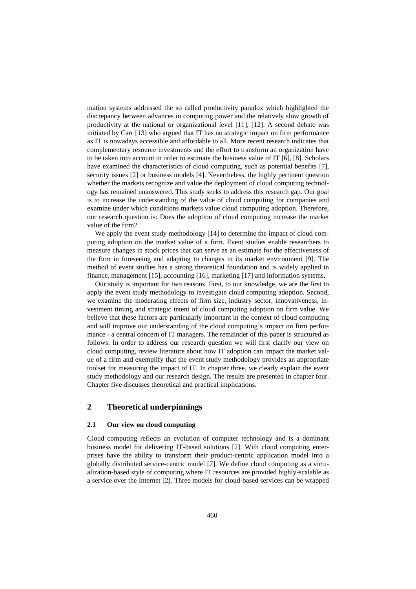mation systems addressed the so called productivity paradox which highlighted the discrepancy between advances in computing power and the relatively slow growth of productivity at the national or organizational level [11], [12]. A second debate was initiated by Carr [13] who argued that IT has no strategic impact on firm performance as IT is nowadays accessible and affordable to all. More recent research indicates that complementary resource investments and the effort to transform an organization have to be taken into account in order to estimate the business value of IT [6], [8]. Scholars have examined the characteristics of cloud computing, such as potential benefits [7], security issues [2] or business models [4]. Nevertheless, the highly pertinent question whether the markets recognize and value the deployment of cloud computing technology has remained unanswered. This study seeks to address this research gap. Our goal is to increase the understanding of the value of cloud computing for companies and examine under which conditions markets value cloud computing adoption. Therefore, our research question is: Does the adoption of cloud computing increase the market value of the firm?

We apply the event study methodology [14] to determine the impact of cloud computing adoption on the market value of a firm. Event studies enable researchers to measure changes in stock prices that can serve as an estimate for the effectiveness of the firm in foreseeing and adapting to changes in its market environment [9]. The method of event studies has a strong theoretical foundation and is widely applied in finance, management [15], accounting [16], marketing [17] and information systems.

Our study is important for two reasons. First, to our knowledge, we are the first to apply the event study methodology to investigate cloud computing adoption. Second, we examine the moderating effects of firm size, industry sector, innovativeness, investment timing and strategic intent of cloud computing adoption on firm value. We believe that these factors are particularly important in the context of cloud computing and will improve our understanding of the cloud computing's impact on firm performance - a central concern of IT managers. The remainder of this paper is structured as follows. In order to address our research question we will first clarify our view on cloud computing, review literature about how IT adoption can impact the market value of a firm and exemplify that the event study methodology provides an appropriate toolset for measuring the impact of IT. In chapter three, we clearly explain the event study methodology and our research design. The results are presented in chapter four. Chapter five discusses theoretical and practical implications.

## **2 Theoretical underpinnings**

## **2.1 Our view on cloud computing**

Cloud computing reflects an evolution of computer technology and is a dominant business model for delivering IT-based solutions [2]. With cloud computing enterprises have the ability to transform their product-centric application model into a globally distributed service-centric model [7]. We define cloud computing as a virtualization-based style of computing where IT resources are provided highly-scalable as a service over the Internet [2]. Three models for cloud-based services can be wrapped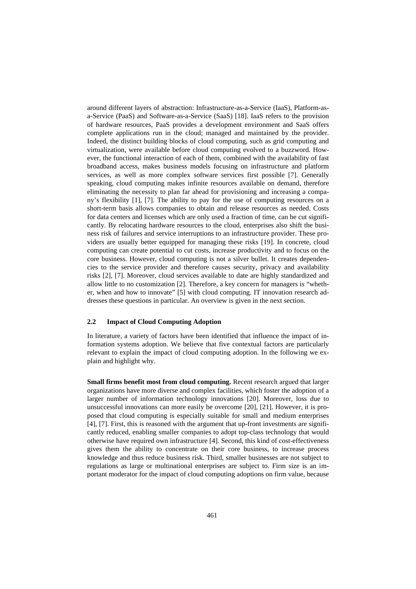around different layers of abstraction: Infrastructure-as-a-Service (IaaS), Platform-asa-Service (PaaS) and Software-as-a-Service (SaaS) [18]. IaaS refers to the provision of hardware resources, PaaS provides a development environment and SaaS offers complete applications run in the cloud; managed and maintained by the provider. Indeed, the distinct building blocks of cloud computing, such as grid computing and virtualization, were available before cloud computing evolved to a buzzword. However, the functional interaction of each of them, combined with the availability of fast broadband access, makes business models focusing on infrastructure and platform services, as well as more complex software services first possible [7]. Generally speaking, cloud computing makes infinite resources available on demand, therefore eliminating the necessity to plan far ahead for provisioning and increasing a company's flexibility [1], [7]. The ability to pay for the use of computing resources on a short-term basis allows companies to obtain and release resources as needed. Costs for data centers and licenses which are only used a fraction of time, can be cut significantly. By relocating hardware resources to the cloud, enterprises also shift the business risk of failures and service interruptions to an infrastructure provider. These providers are usually better equipped for managing these risks [19]. In concrete, cloud computing can create potential to cut costs, increase productivity and to focus on the core business. However, cloud computing is not a silver bullet. It creates dependencies to the service provider and therefore causes security, privacy and availability risks [2], [7]. Moreover, cloud services available to date are highly standardized and allow little to no customization [2]. Therefore, a key concern for managers is "whether, when and how to innovate" [5] with cloud computing. IT innovation research addresses these questions in particular. An overview is given in the next section.

#### **2.2 Impact of Cloud Computing Adoption**

In literature, a variety of factors have been identified that influence the impact of information systems adoption. We believe that five contextual factors are particularly relevant to explain the impact of cloud computing adoption. In the following we explain and highlight why.

**Small firms benefit most from cloud computing.** Recent research argued that larger organizations have more diverse and complex facilities, which foster the adoption of a larger number of information technology innovations [20]. Moreover, loss due to unsuccessful innovations can more easily be overcome [20], [21]. However, it is proposed that cloud computing is especially suitable for small and medium enterprises [4], [7]. First, this is reasoned with the argument that up-front investments are significantly reduced, enabling smaller companies to adopt top-class technology that would otherwise have required own infrastructure [4]. Second, this kind of cost-effectiveness gives them the ability to concentrate on their core business, to increase process knowledge and thus reduce business risk. Third, smaller businesses are not subject to regulations as large or multinational enterprises are subject to. Firm size is an important moderator for the impact of cloud computing adoptions on firm value, because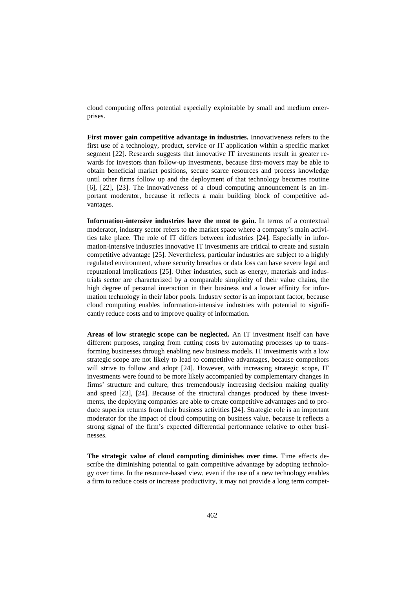cloud computing offers potential especially exploitable by small and medium enterprises.

**First mover gain competitive advantage in industries.** Innovativeness refers to the first use of a technology, product, service or IT application within a specific market segment [22]. Research suggests that innovative IT investments result in greater rewards for investors than follow-up investments, because first-movers may be able to obtain beneficial market positions, secure scarce resources and process knowledge until other firms follow up and the deployment of that technology becomes routine [6], [22], [23]. The innovativeness of a cloud computing announcement is an important moderator, because it reflects a main building block of competitive advantages.

**Information-intensive industries have the most to gain.** In terms of a contextual moderator, industry sector refers to the market space where a company's main activities take place. The role of IT differs between industries [24]. Especially in information-intensive industries innovative IT investments are critical to create and sustain competitive advantage [25]. Nevertheless, particular industries are subject to a highly regulated environment, where security breaches or data loss can have severe legal and reputational implications [25]. Other industries, such as energy, materials and industrials sector are characterized by a comparable simplicity of their value chains, the high degree of personal interaction in their business and a lower affinity for information technology in their labor pools. Industry sector is an important factor, because cloud computing enables information-intensive industries with potential to significantly reduce costs and to improve quality of information.

**Areas of low strategic scope can be neglected.** An IT investment itself can have different purposes, ranging from cutting costs by automating processes up to transforming businesses through enabling new business models. IT investments with a low strategic scope are not likely to lead to competitive advantages, because competitors will strive to follow and adopt [24]. However, with increasing strategic scope, IT investments were found to be more likely accompanied by complementary changes in firms' structure and culture, thus tremendously increasing decision making quality and speed [23], [24]. Because of the structural changes produced by these investments, the deploying companies are able to create competitive advantages and to produce superior returns from their business activities [24]. Strategic role is an important moderator for the impact of cloud computing on business value, because it reflects a strong signal of the firm's expected differential performance relative to other businesses.

**The strategic value of cloud computing diminishes over time.** Time effects describe the diminishing potential to gain competitive advantage by adopting technology over time. In the resource-based view, even if the use of a new technology enables a firm to reduce costs or increase productivity, it may not provide a long term compet-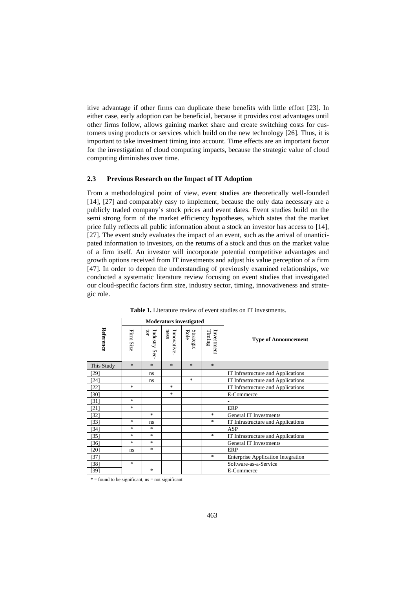itive advantage if other firms can duplicate these benefits with little effort [23]. In either case, early adoption can be beneficial, because it provides cost advantages until other firms follow, allows gaining market share and create switching costs for customers using products or services which build on the new technology [26]. Thus, it is important to take investment timing into account. Time effects are an important factor for the investigation of cloud computing impacts, because the strategic value of cloud computing diminishes over time.

## **2.3 Previous Research on the Impact of IT Adoption**

From a methodological point of view, event studies are theoretically well-founded [14], [27] and comparably easy to implement, because the only data necessary are a publicly traded company's stock prices and event dates. Event studies build on the semi strong form of the market efficiency hypotheses, which states that the market price fully reflects all public information about a stock an investor has access to [14], [27]. The event study evaluates the impact of an event, such as the arrival of unanticipated information to investors, on the returns of a stock and thus on the market value of a firm itself. An investor will incorporate potential competitive advantages and growth options received from IT investments and adjust his value perception of a firm [47]. In order to deepen the understanding of previously examined relationships, we conducted a systematic literature review focusing on event studies that investigated our cloud-specific factors firm size, industry sector, timing, innovativeness and strategic role.

|            | <b>Moderators investigated</b> |                    |                    |                   |                                 |                                           |
|------------|--------------------------------|--------------------|--------------------|-------------------|---------------------------------|-------------------------------------------|
| Reference  | Firm Size                      | ğ<br>Industry Sec- | ness<br>Innovative | Role<br>Strategic | $\mathrm{Timing}$<br>Investment | <b>Type of Announcement</b>               |
| This Study | $\ast$                         | $*$                | $\ast$             | $\ast$            | $\ast$                          |                                           |
| $[29]$     |                                | ns                 |                    |                   |                                 | IT Infrastructure and Applications        |
| [24]       |                                | ns                 |                    | $\ast$            |                                 | IT Infrastructure and Applications        |
| $[22]$     | $\ast$                         |                    | *                  |                   |                                 | IT Infrastructure and Applications        |
| $[30]$     |                                |                    | *                  |                   |                                 | E-Commerce                                |
| $[31]$     | $\ast$                         |                    |                    |                   |                                 |                                           |
| $[21]$     | $\ast$                         |                    |                    |                   |                                 | <b>ERP</b>                                |
| $[32]$     |                                | $\ast$             |                    |                   | $\ast$                          | <b>General IT Investments</b>             |
| $[33]$     | $\ast$                         | ns                 |                    |                   | $\ast$                          | IT Infrastructure and Applications        |
| $[34]$     | $\ast$                         | $\ast$             |                    |                   |                                 | <b>ASP</b>                                |
| $[35]$     | $\ast$                         | $\ast$             |                    |                   | $\ast$                          | IT Infrastructure and Applications        |
| $[36]$     | $\ast$                         | $\ast$             |                    |                   |                                 | <b>General IT Investments</b>             |
| [20]       | ns                             | $\ast$             |                    |                   |                                 | ERP                                       |
| $[37]$     |                                |                    |                    |                   | $\ast$                          | <b>Enterprise Application Integration</b> |
| [38]       | $\ast$                         |                    |                    |                   |                                 | Software-as-a-Service                     |
| [39]       |                                | $\ast$             |                    |                   |                                 | E-Commerce                                |

**Table 1.** Literature review of event studies on IT investments.

 $* =$  found to be significant, ns = not significant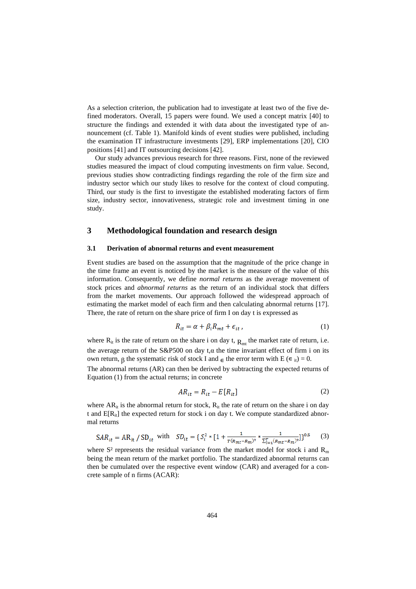As a selection criterion, the publication had to investigate at least two of the five defined moderators. Overall, 15 papers were found. We used a concept matrix [40] to structure the findings and extended it with data about the investigated type of announcement (cf. Table 1). Manifold kinds of event studies were published, including the examination IT infrastructure investments [29], ERP implementations [20], CIO positions [41] and IT outsourcing decisions [42].

Our study advances previous research for three reasons. First, none of the reviewed studies measured the impact of cloud computing investments on firm value. Second, previous studies show contradicting findings regarding the role of the firm size and industry sector which our study likes to resolve for the context of cloud computing. Third, our study is the first to investigate the established moderating factors of firm size, industry sector, innovativeness, strategic role and investment timing in one study.

## **3 Methodological foundation and research design**

#### **3.1 Derivation of abnormal returns and event measurement**

Event studies are based on the assumption that the magnitude of the price change in the time frame an event is noticed by the market is the measure of the value of this information. Consequently, we define *normal returns* as the average movement of stock prices and *abnormal returns* as the return of an individual stock that differs from the market movements. Our approach followed the widespread approach of estimating the market model of each firm and then calculating abnormal returns [17]. There, the rate of return on the share price of firm I on day t is expressed as

$$
R_{it} = \alpha + \beta_i R_{mt} + \epsilon_{it} \,, \tag{1}
$$

where  $R_{it}$  is the rate of return on the share i on day t,  $R_{mt}$  the market rate of return, i.e. the average return of the S&P500 on day t, $\alpha$  the time invariant effect of firm i on its own return,  $\beta$  the systematic risk of stock I and  $\epsilon$  the error term with E ( $\epsilon$ <sub>it</sub>) = 0.

The abnormal returns (AR) can then be derived by subtracting the expected returns of Equation (1) from the actual returns; in concrete

$$
AR_{it} = R_{it} - E[R_{it}] \tag{2}
$$

where  $AR_{it}$  is the abnormal return for stock,  $R_{it}$  the rate of return on the share i on day t and  $E[R_{ii}]$  the expected return for stock i on day t. We compute standardized abnormal returns

$$
SAR_{it} = AR_{it} / SD_{it} \text{ with } SD_{it} = \{ S_i^2 * [1 + \frac{1}{r(R_{mt} - R_m)^2} * \frac{1}{\sum_{t=1}^T (R_{mt} - R_m)^2}] \}^{0.5} \tag{3}
$$

where S<sup>2</sup> represents the residual variance from the market model for stock i and  $\mathbb{R}_m$ being the mean return of the market portfolio. The standardized abnormal returns can then be cumulated over the respective event window (CAR) and averaged for a concrete sample of n firms (ACAR):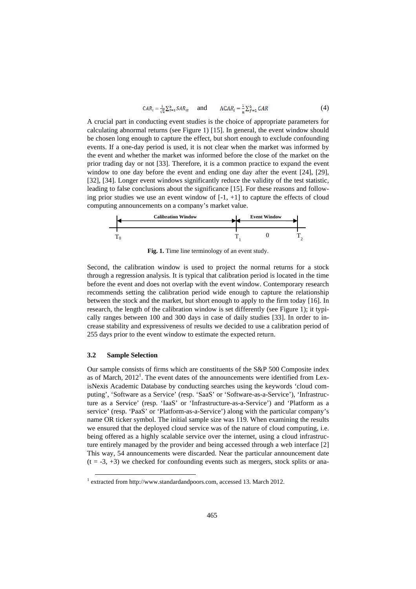$$
CAR_i = \frac{1}{\sqrt{t}} \sum_{t=1}^k SAR_{it} \quad \text{and} \quad \quad ACAR_i = \frac{1}{\sqrt{\pi}} \sum_{t=1}^k CAR \tag{4}
$$

A crucial part in conducting event studies is the choice of appropriate parameters for calculating abnormal returns (see Figure 1) [15]. In general, the event window should be chosen long enough to capture the effect, but short enough to exclude confounding events. If a one-day period is used, it is not clear when the market was informed by the event and whether the market was informed before the close of the market on the prior trading day or not [33]. Therefore, it is a common practice to expand the event window to one day before the event and ending one day after the event [24], [29], [32], [34]. Longer event windows significantly reduce the validity of the test statistic, leading to false conclusions about the significance [15]. For these reasons and following prior studies we use an event window of  $[-1, +1]$  to capture the effects of cloud computing announcements on a company's market value.



**Fig. 1.** Time line terminology of an event study.

Second, the calibration window is used to project the normal returns for a stock through a regression analysis. It is typical that calibration period is located in the time before the event and does not overlap with the event window. Contemporary research recommends setting the calibration period wide enough to capture the relationship between the stock and the market, but short enough to apply to the firm today [16]. In research, the length of the calibration window is set differently (see Figure 1); it typically ranges between 100 and 300 days in case of daily studies [33]. In order to increase stability and expressiveness of results we decided to use a calibration period of 255 days prior to the event window to estimate the expected return.

## **3.2 Sample Selection**

-

Our sample consists of firms which are constituents of the S&P 500 Composite index as of March,  $2012<sup>1</sup>$ . The event dates of the announcements were identified from LexisNexis Academic Database by conducting searches using the keywords 'cloud computing', 'Software as a Service' (resp. 'SaaS' or 'Software-as-a-Service'), 'Infrastructure as a Service' (resp. 'IaaS' or 'Infrastructure-as-a-Service') and 'Platform as a service' (resp. 'PaaS' or 'Platform-as-a-Service') along with the particular company's name OR ticker symbol. The initial sample size was 119. When examining the results we ensured that the deployed cloud service was of the nature of cloud computing, i.e. being offered as a highly scalable service over the internet, using a cloud infrastructure entirely managed by the provider and being accessed through a web interface [2] This way, 54 announcements were discarded. Near the particular announcement date  $(t = -3, +3)$  we checked for confounding events such as mergers, stock splits or ana-

<sup>&</sup>lt;sup>1</sup> extracted from http://www.standardandpoors.com, accessed 13. March 2012.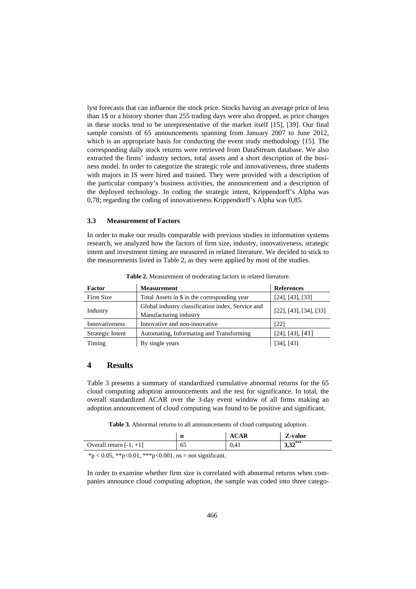lyst forecasts that can influence the stock price. Stocks having an average price of less than 1\$ or a history shorter than 255 trading days were also dropped, as price changes in these stocks tend to be unrepresentative of the market itself [15], [39]. Our final sample consists of 65 announcements spanning from January 2007 to June 2012, which is an appropriate basis for conducting the event study methodology [15]. The corresponding daily stock returns were retrieved from DataStream database. We also extracted the firms' industry sectors, total assets and a short description of the business model. In order to categorize the strategic role and innovativeness, three students with majors in IS were hired and trained. They were provided with a description of the particular company's business activities, the announcement and a description of the deployed technology. In coding the strategic intent, Krippendorff's Alpha was 0,78; regarding the coding of innovativeness Krippendorff's Alpha was 0,85.

#### **3.3 Measurement of Factors**

In order to make our results comparable with previous studies in information systems research, we analyzed how the factors of firm size, industry, innovativeness, strategic intent and investment timing are measured in related literature. We decided to stick to the measurements listed in Table 2, as they were applied by most of the studies.

| Factor           | <b>Measurement</b>                                                          | <b>References</b>         |
|------------------|-----------------------------------------------------------------------------|---------------------------|
| Firm Size        | Total Assets in \$ in the corresponding year                                | [24], [43], [33]          |
| Industry         | Global industry classification index, Service and<br>Manufacturing industry | $[22]$ , [43], [34], [33] |
| Innovativeness   | Innovative and non-innovative                                               | [22]                      |
| Strategic Intent | Automating, Informating and Transforming                                    | [24], [43], [41]          |
| Timing           | By single years                                                             | $[34]$ , $[43]$           |

**Table 2.** Measurement of moderating factors in related literature.

## **4 Results**

Table 3 presents a summary of standardized cumulative abnormal returns for the 65 cloud computing adoption announcements and the test for significance. In total, the overall standardized ACAR over the 3-day event window of all firms making an adoption announcement of cloud computing was found to be positive and significant.

**Table 3.** Abnormal returns to all announcements of cloud computing adoption.

|                           | n  | <b>ACAR</b> | Z-value    |
|---------------------------|----|-------------|------------|
| Overall return $[-1, +1]$ | 65 | 0.41        | $3,32$ *** |

 $*p < 0.05$ ,  $* p < 0.01$ ,  $* * p < 0.001$ , ns = not significant.

In order to examine whether firm size is correlated with abnormal returns when companies announce cloud computing adoption, the sample was coded into three catego-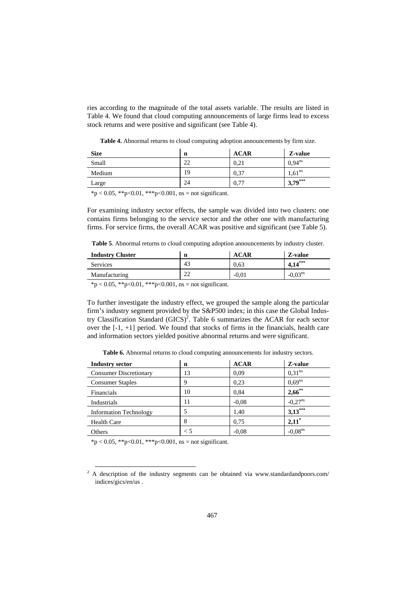ries according to the magnitude of the total assets variable. The results are listed in Table 4. We found that cloud computing announcements of large firms lead to excess stock returns and were positive and significant (see Table 4).

**Table 4.** Abnormal returns to cloud computing adoption announcements by firm size.

| <b>Size</b> | n  | <b>ACAR</b> | Z-value            |
|-------------|----|-------------|--------------------|
| Small       | 22 | 0,21        | $0.94^{ns}$        |
| Medium      | 19 | 0.37        | $1,61^{\text{ns}}$ |
| Large       | 24 | 0,77        | $13,79***$         |

 $*p < 0.05$ ,  $*p < 0.01$ ,  $**p < 0.001$ , ns = not significant.

For examining industry sector effects, the sample was divided into two clusters: one contains firms belonging to the service sector and the other one with manufacturing firms. For service firms, the overall ACAR was positive and significant (see Table 5).

**Table 5**. Abnormal returns to cloud computing adoption announcements by industry cluster.

| <b>Industry Cluster</b> | n        | <b>ACAR</b> | Z-value   |
|-------------------------|----------|-------------|-----------|
| <b>Services</b>         | 43       | 0.63        | $4,14***$ |
| Manufacturing           | າາ<br>∠∠ | $-0.01$     | $-0.03ns$ |
|                         |          |             |           |

 $*p < 0.05$ ,  $* p < 0.01$ ,  $* * p < 0.001$ , ns = not significant.

To further investigate the industry effect, we grouped the sample along the particular firm's industry segment provided by the S&P500 index; in this case the Global Industry Classification Standard  $(GICS)^2$ . Table 6 summarizes the ACAR for each sector over the [-1, +1] period. We found that stocks of firms in the financials, health care and information sectors yielded positive abnormal returns and were significant.

**Table 6.** Abnormal returns to cloud computing announcements for industry sectors.

| <b>Industry sector</b>        | n   | <b>ACAR</b> | Z-value               |
|-------------------------------|-----|-------------|-----------------------|
| <b>Consumer Discretionary</b> | 13  | 0.09        | 0.31 <sup>ns</sup>    |
| <b>Consumer Staples</b>       | 9   | 0,23        | $0,69^{ns}$           |
| Financials                    | 10  | 0,84        | $2,66$ **             |
| Industrials                   | 11  | $-0.08$     | $-0.27$ <sup>ns</sup> |
| <b>Information Technology</b> |     | 1,40        | $3,13***$             |
| <b>Health Care</b>            | 8   | 0.75        | $2,11^*$              |
| Others                        | < 5 | $-0.08$     | $-0.08$ <sup>ns</sup> |

 $*p < 0.05$ ,  $*p < 0.01$ ,  $**p < 0.001$ , ns = not significant.

-

<sup>&</sup>lt;sup>2</sup> A description of the industry segments can be obtained via www.standardandpoors.com/ indices/gics/en/us .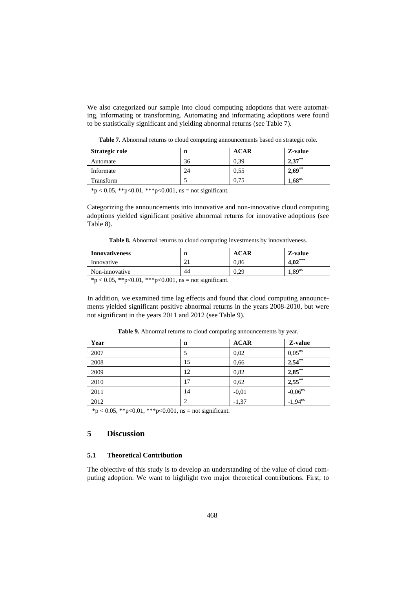We also categorized our sample into cloud computing adoptions that were automating, informating or transforming. Automating and informating adoptions were found to be statistically significant and yielding abnormal returns (see Table 7).

**Table 7.** Abnormal returns to cloud computing announcements based on strategic role.

| Strategic role | n  | <b>ACAR</b> | Z-value              |
|----------------|----|-------------|----------------------|
| Automate       | 36 | 0.39        | $2,37$ <sup>**</sup> |
| Informate      | 24 | 0.55        | $2,69^{**}$          |
| Transform      | ت  | 0.75        | $4,68^{\text{ns}}$   |
|                |    |             |                      |

 $*p < 0.05$ ,  $*p < 0.01$ ,  $**p < 0.001$ , ns = not significant.

Categorizing the announcements into innovative and non-innovative cloud computing adoptions yielded significant positive abnormal returns for innovative adoptions (see Table 8).

**Table 8.** Abnormal returns to cloud computing investments by innovativeness.

| <b>Innovativeness</b>               | n                  |      | Z-value           |
|-------------------------------------|--------------------|------|-------------------|
| Innovative                          | $\sim$<br>$\sim$ 1 | J.86 | $4,02***$         |
| Non-innovative                      | 44                 | 0.29 | .89 <sup>ns</sup> |
| $4.007 + 0.01 + 0.01$ $0.001$ $1.7$ |                    |      |                   |

 $*p < 0.05$ ,  $*p < 0.01$ ,  $**p < 0.001$ , ns = not significant.

In addition, we examined time lag effects and found that cloud computing announcements yielded significant positive abnormal returns in the years 2008-2010, but were not significant in the years 2011 and 2012 (see Table 9).

| Table 9. Abnormal returns to cloud computing announcements by year. |  |
|---------------------------------------------------------------------|--|
|---------------------------------------------------------------------|--|

| Year | n  | <b>ACAR</b> | Z-value               |
|------|----|-------------|-----------------------|
| 2007 | 5  | 0,02        | $0,05^{\text{ns}}$    |
| 2008 | 15 | 0,66        | 2,54                  |
| 2009 | 12 | 0,82        | $2,85***$             |
| 2010 | 17 | 0,62        | $2,55$ **             |
| 2011 | 14 | $-0,01$     | $-0,06$ <sup>ns</sup> |
| 2012 | 2  | $-1,37$     | $-1,94^{ns}$          |
|      |    |             |                       |

 $*p < 0.05$ ,  $*p < 0.01$ ,  $**p < 0.001$ , ns = not significant.

## **5 Discussion**

## **5.1 Theoretical Contribution**

The objective of this study is to develop an understanding of the value of cloud computing adoption. We want to highlight two major theoretical contributions. First, to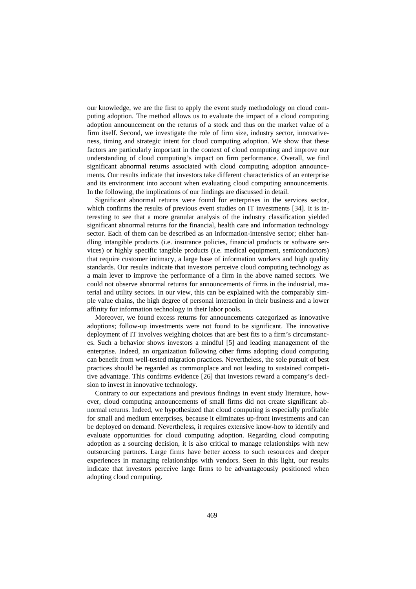our knowledge, we are the first to apply the event study methodology on cloud computing adoption. The method allows us to evaluate the impact of a cloud computing adoption announcement on the returns of a stock and thus on the market value of a firm itself. Second, we investigate the role of firm size, industry sector, innovativeness, timing and strategic intent for cloud computing adoption. We show that these factors are particularly important in the context of cloud computing and improve our understanding of cloud computing's impact on firm performance. Overall, we find significant abnormal returns associated with cloud computing adoption announcements. Our results indicate that investors take different characteristics of an enterprise and its environment into account when evaluating cloud computing announcements. In the following, the implications of our findings are discussed in detail.

Significant abnormal returns were found for enterprises in the services sector, which confirms the results of previous event studies on IT investments [34]. It is interesting to see that a more granular analysis of the industry classification yielded significant abnormal returns for the financial, health care and information technology sector. Each of them can be described as an information-intensive sector; either handling intangible products (i.e. insurance policies, financial products or software services) or highly specific tangible products (i.e. medical equipment, semiconductors) that require customer intimacy, a large base of information workers and high quality standards. Our results indicate that investors perceive cloud computing technology as a main lever to improve the performance of a firm in the above named sectors. We could not observe abnormal returns for announcements of firms in the industrial, material and utility sectors. In our view, this can be explained with the comparably simple value chains, the high degree of personal interaction in their business and a lower affinity for information technology in their labor pools.

Moreover, we found excess returns for announcements categorized as innovative adoptions; follow-up investments were not found to be significant. The innovative deployment of IT involves weighing choices that are best fits to a firm's circumstances. Such a behavior shows investors a mindful [5] and leading management of the enterprise. Indeed, an organization following other firms adopting cloud computing can benefit from well-tested migration practices. Nevertheless, the sole pursuit of best practices should be regarded as commonplace and not leading to sustained competitive advantage. This confirms evidence [26] that investors reward a company's decision to invest in innovative technology.

Contrary to our expectations and previous findings in event study literature, however, cloud computing announcements of small firms did not create significant abnormal returns. Indeed, we hypothesized that cloud computing is especially profitable for small and medium enterprises, because it eliminates up-front investments and can be deployed on demand. Nevertheless, it requires extensive know-how to identify and evaluate opportunities for cloud computing adoption. Regarding cloud computing adoption as a sourcing decision, it is also critical to manage relationships with new outsourcing partners. Large firms have better access to such resources and deeper experiences in managing relationships with vendors. Seen in this light, our results indicate that investors perceive large firms to be advantageously positioned when adopting cloud computing.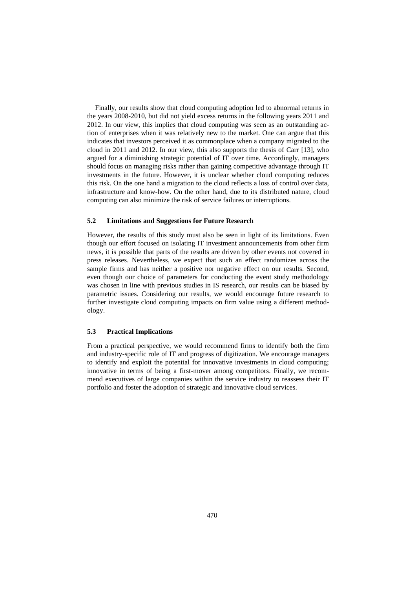Finally, our results show that cloud computing adoption led to abnormal returns in the years 2008-2010, but did not yield excess returns in the following years 2011 and 2012. In our view, this implies that cloud computing was seen as an outstanding action of enterprises when it was relatively new to the market. One can argue that this indicates that investors perceived it as commonplace when a company migrated to the cloud in 2011 and 2012. In our view, this also supports the thesis of Carr [13], who argued for a diminishing strategic potential of IT over time. Accordingly, managers should focus on managing risks rather than gaining competitive advantage through IT investments in the future. However, it is unclear whether cloud computing reduces this risk. On the one hand a migration to the cloud reflects a loss of control over data, infrastructure and know-how. On the other hand, due to its distributed nature, cloud computing can also minimize the risk of service failures or interruptions.

## **5.2 Limitations and Suggestions for Future Research**

However, the results of this study must also be seen in light of its limitations. Even though our effort focused on isolating IT investment announcements from other firm news, it is possible that parts of the results are driven by other events not covered in press releases. Nevertheless, we expect that such an effect randomizes across the sample firms and has neither a positive nor negative effect on our results. Second, even though our choice of parameters for conducting the event study methodology was chosen in line with previous studies in IS research, our results can be biased by parametric issues. Considering our results, we would encourage future research to further investigate cloud computing impacts on firm value using a different methodology.

#### **5.3 Practical Implications**

From a practical perspective, we would recommend firms to identify both the firm and industry-specific role of IT and progress of digitization. We encourage managers to identify and exploit the potential for innovative investments in cloud computing; innovative in terms of being a first-mover among competitors. Finally, we recommend executives of large companies within the service industry to reassess their IT portfolio and foster the adoption of strategic and innovative cloud services.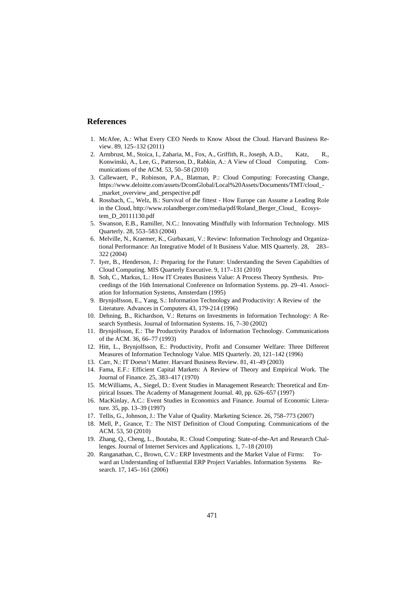## **References**

- 1. McAfee, A.: What Every CEO Needs to Know About the Cloud. Harvard Business Review. 89, 125–132 (2011)
- 2. Armbrust, M., Stoica, I., Zaharia, M., Fox, A., Griffith, R., Joseph, A.D., Katz, R., Konwinski, A., Lee, G., Patterson, D., Rabkin, A.: A View of Cloud Computing. Communications of the ACM. 53, 50–58 (2010)
- 3. Callewaert, P., Robinson, P.A., Blatman, P.: Cloud Computing: Forecasting Change, https://www.deloitte.com/assets/DcomGlobal/Local%20Assets/Documents/TMT/cloud\_- \_market\_overview\_and\_perspective.pdf
- 4. Rossbach, C., Welz, B.: Survival of the fittest How Europe can Assume a Leading Role in the Cloud, http://www.rolandberger.com/media/pdf/Roland\_Berger\_Cloud\_ Ecosystem\_D\_20111130.pdf
- 5. Swanson, E.B., Ramiller, N.C.: Innovating Mindfully with Information Technology. MIS Quarterly. 28, 553–583 (2004)
- 6. Melville, N., Kraemer, K., Gurbaxani, V.: Review: Information Technology and Organizational Performance: An Integrative Model of It Business Value. MIS Quarterly. 28, 283– 322 (2004)
- 7. Iyer, B., Henderson, J.: Preparing for the Future: Understanding the Seven Capabilties of Cloud Computing. MIS Quarterly Executive. 9, 117–131 (2010)
- 8. Soh, C., Markus, L.: How IT Creates Business Value: A Process Theory Synthesis. Proceedings of the 16th International Conference on Information Systems. pp. 29–41. Association for Information Systems, Amsterdam (1995)
- 9. Brynjolfsson, E., Yang, S.: Information Technology and Productivity: A Review of the Literature. Advances in Computers 43, 179-214 (1996)
- 10. Dehning, B., Richardson, V.: Returns on Investments in Information Technology: A Research Synthesis. Journal of Information Systems. 16, 7–30 (2002)
- 11. Brynjolfsson, E.: The Productivity Paradox of Information Technology. Communications of the ACM. 36, 66–77 (1993)
- 12. Hitt, L., Brynjolfsson, E.: Productivity, Profit and Consumer Welfare: Three Different Measures of Information Technology Value. MIS Quarterly. 20, 121–142 (1996)
- 13. Carr, N.: IT Doesn't Matter. Harvard Business Review. 81, 41–49 (2003)
- 14. Fama, E.F.: Efficient Capital Markets: A Review of Theory and Empirical Work. The Journal of Finance. 25, 383–417 (1970)
- 15. McWilliams, A., Siegel, D.: Event Studies in Management Research: Theoretical and Empirical Issues. The Academy of Management Journal. 40, pp. 626–657 (1997)
- 16. MacKinlay, A.C.: Event Studies in Economics and Finance. Journal of Economic Literature. 35, pp. 13–39 (1997)
- 17. Tellis, G., Johnson, J.: The Value of Quality. Marketing Science. 26, 758–773 (2007)
- 18. Mell, P., Grance, T.: The NIST Definition of Cloud Computing. Communications of the ACM. 53, 50 (2010)
- 19. Zhang, Q., Cheng, L., Boutaba, R.: Cloud Computing: State-of-the-Art and Research Challenges. Journal of Internet Services and Applications. 1, 7–18 (2010)
- 20. Ranganathan, C., Brown, C.V.: ERP Investments and the Market Value of Firms: Toward an Understanding of Influential ERP Project Variables. Information Systems Research. 17, 145–161 (2006)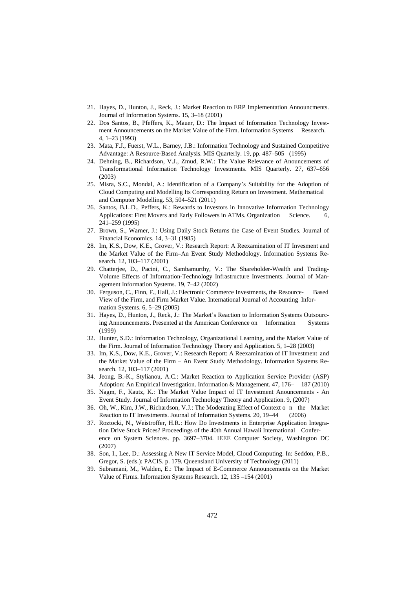- 21. Hayes, D., Hunton, J., Reck, J.: Market Reaction to ERP Implementation Announcments. Journal of Information Systems. 15, 3–18 (2001)
- 22. Dos Santos, B., Pfeffers, K., Mauer, D.: The Impact of Information Technology Investment Announcements on the Market Value of the Firm. Information Systems Research. 4, 1–23 (1993)
- 23. Mata, F.J., Fuerst, W.L., Barney, J.B.: Information Technology and Sustained Competitive Advantage: A Resource-Based Analysis. MIS Quarterly. 19, pp. 487–505 (1995)
- 24. Dehning, B., Richardson, V.J., Zmud, R.W.: The Value Relevance of Anouncements of Transformational Information Technology Investments. MIS Quarterly. 27, 637–656 (2003)
- 25. Misra, S.C., Mondal, A.: Identification of a Company's Suitability for the Adoption of Cloud Computing and Modelling Its Corresponding Return on Investment. Mathematical and Computer Modelling. 53, 504–521 (2011)
- 26. Santos, B.L.D., Peffers, K.: Rewards to Investors in Innovative Information Technology Applications: First Movers and Early Followers in ATMs. Organization Science. 6, 241–259 (1995)
- 27. Brown, S., Warner, J.: Using Daily Stock Returns the Case of Event Studies. Journal of Financial Economics. 14, 3–31 (1985)
- 28. Im, K.S., Dow, K.E., Grover, V.: Research Report: A Reexamination of IT Invesment and the Market Value of the Firm–An Event Study Methodology. Information Systems Research. 12, 103–117 (2001)
- 29. Chatterjee, D., Pacini, C., Sambamurthy, V.: The Shareholder-Wealth and Trading-Volume Effects of Information-Technology Infrastructure Investments. Journal of Management Information Systems. 19, 7–42 (2002)
- 30. Ferguson, C., Finn, F., Hall, J.: Electronic Commerce Investments, the Resource- Based View of the Firm, and Firm Market Value. International Journal of Accounting Information Systems. 6, 5–29 (2005)
- 31. Hayes, D., Hunton, J., Reck, J.: The Market's Reaction to Information Systems Outsourcing Announcements. Presented at the American Conference on Information Systems (1999)
- 32. Hunter, S.D.: Information Technology, Organizational Learning, and the Market Value of the Firm. Journal of Information Technology Theory and Application. 5, 1–28 (2003)
- 33. Im, K.S., Dow, K.E., Grover, V.: Research Report: A Reexamination of IT Investment and the Market Value of the Firm – An Event Study Methodology. Information Systems Research. 12, 103–117 (2001)
- 34. Jeong, B.-K., Stylianou, A.C.: Market Reaction to Application Service Provider (ASP) Adoption: An Empirical Investigation. Information & Management. 47, 176– 187 (2010)
- 35. Nagm, F., Kautz, K.: The Market Value Impact of IT Investment Anouncements An Event Study. Journal of Information Technology Theory and Application. 9, (2007)
- 36. Oh, W., Kim, J.W., Richardson, V.J.: The Moderating Effect of Context o n the Market Reaction to IT Investments. Journal of Information Systems. 20, 19–44 (2006)
- 37. Roztocki, N., Weistroffer, H.R.: How Do Investments in Enterprise Application Integration Drive Stock Prices? Proceedings of the 40th Annual Hawaii International Conference on System Sciences. pp. 3697–3704. IEEE Computer Society, Washington DC (2007)
- 38. Son, I., Lee, D.: Assessing A New IT Service Model, Cloud Computing. In: Seddon, P.B., Gregor, S. (eds.): PACIS. p. 179. Queensland University of Technology (2011)
- Subramani, M., Walden, E.: The Impact of E-Commerce Announcements on the Market Value of Firms. Information Systems Research. 12, 135 –154 (2001)